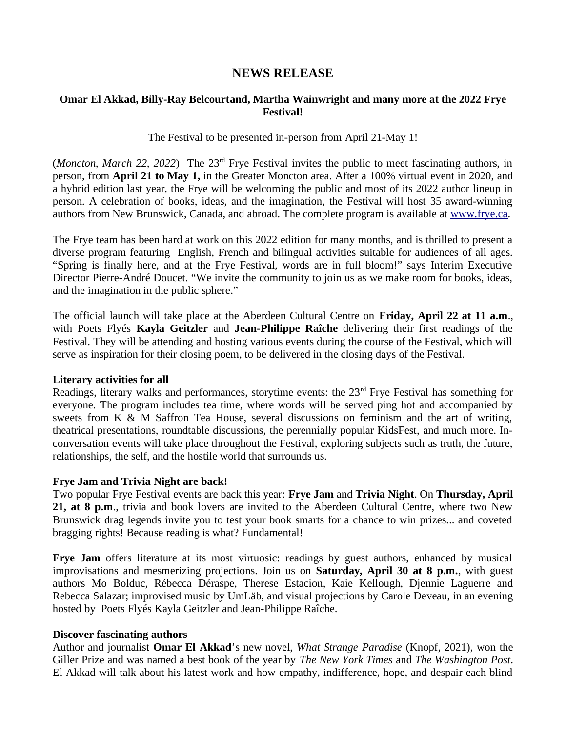# **NEWS RELEASE**

# **Omar El Akkad, Billy-Ray Belcourtand, Martha Wainwright and many more at the 2022 Frye Festival!**

## The Festival to be presented in-person from April 21-May 1!

(*Moncton, March 22, 2022*) The 23rd Frye Festival invites the public to meet fascinating authors, in person, from **April 21 to May 1,** in the Greater Moncton area. After a 100% virtual event in 2020, and a hybrid edition last year, the Frye will be welcoming the public and most of its 2022 author lineup in person. A celebration of books, ideas, and the imagination, the Festival will host 35 award-winning authors from New Brunswick, Canada, and abroad. The complete program is available at www.frye.ca.

The Frye team has been hard at work on this 2022 edition for many months, and is thrilled to present a diverse program featuring English, French and bilingual activities suitable for audiences of all ages. "Spring is finally here, and at the Frye Festival, words are in full bloom!" says Interim Executive Director Pierre-André Doucet. "We invite the community to join us as we make room for books, ideas, and the imagination in the public sphere."

The official launch will take place at the Aberdeen Cultural Centre on **Friday, April 22 at 11 a.m**., with Poets Flyés **Kayla Geitzler** and **Jean-Philippe Raîche** delivering their first readings of the Festival. They will be attending and hosting various events during the course of the Festival, which will serve as inspiration for their closing poem, to be delivered in the closing days of the Festival.

#### **Literary activities for all**

Readings, literary walks and performances, storytime events: the 23<sup>rd</sup> Frye Festival has something for everyone. The program includes tea time, where words will be served ping hot and accompanied by sweets from K & M Saffron Tea House, several discussions on feminism and the art of writing, theatrical presentations, roundtable discussions, the perennially popular KidsFest, and much more. Inconversation events will take place throughout the Festival, exploring subjects such as truth, the future, relationships, the self, and the hostile world that surrounds us.

#### **Frye Jam and Trivia Night are back!**

Two popular Frye Festival events are back this year: **Frye Jam** and **Trivia Night**. On **Thursday, April 21, at 8 p.m**., trivia and book lovers are invited to the Aberdeen Cultural Centre, where two New Brunswick drag legends invite you to test your book smarts for a chance to win prizes... and coveted bragging rights! Because reading is what? Fundamental!

Frye Jam offers literature at its most virtuosic: readings by guest authors, enhanced by musical improvisations and mesmerizing projections. Join us on **Saturday, April 30 at 8 p.m.**, with guest authors Mo Bolduc, Rébecca Déraspe, Therese Estacion, Kaie Kellough, Djennie Laguerre and Rebecca Salazar; improvised music by UmLäb, and visual projections by Carole Deveau, in an evening hosted by Poets Flyés Kayla Geitzler and Jean-Philippe Raîche.

# **Discover fascinating authors**

Author and journalist **Omar El Akkad**'s new novel, *What Strange Paradise* (Knopf, 2021), won the Giller Prize and was named a best book of the year by *The New York Times* and *The Washington Post*. El Akkad will talk about his latest work and how empathy, indifference, hope, and despair each blind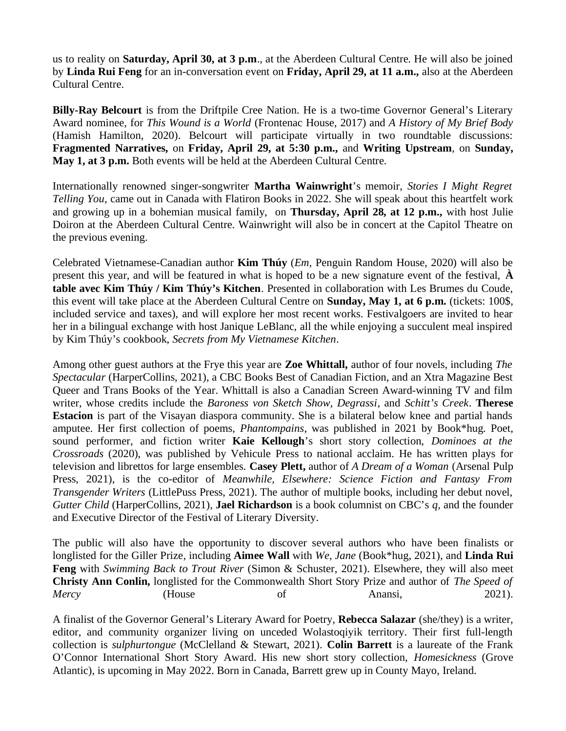us to reality on **Saturday, April 30, at 3 p.m**., at the Aberdeen Cultural Centre. He will also be joined by **Linda Rui Feng** for an in-conversation event on **Friday, April 29, at 11 a.m.,** also at the Aberdeen Cultural Centre.

**Billy-Ray Belcourt** is from the Driftpile Cree Nation. He is a two-time Governor General's Literary Award nominee, for *This Wound is a World* (Frontenac House, 2017) and *A History of My Brief Body* (Hamish Hamilton, 2020). Belcourt will participate virtually in two roundtable discussions: **Fragmented Narratives,** on **Friday, April 29, at 5:30 p.m.,** and **Writing Upstream**, on **Sunday, May 1, at 3 p.m.** Both events will be held at the Aberdeen Cultural Centre.

Internationally renowned singer-songwriter **Martha Wainwright**'s memoir, *Stories I Might Regret Telling You*, came out in Canada with Flatiron Books in 2022. She will speak about this heartfelt work and growing up in a bohemian musical family, on **Thursday, April 28, at 12 p.m.,** with host Julie Doiron at the Aberdeen Cultural Centre. Wainwright will also be in concert at the Capitol Theatre on the previous evening.

Celebrated Vietnamese-Canadian author **Kim Thúy** (*Em,* Penguin Random House, 2020) will also be present this year, and will be featured in what is hoped to be a new signature event of the festival, **À table avec Kim Thúy / Kim Thúy's Kitchen**. Presented in collaboration with Les Brumes du Coude, this event will take place at the Aberdeen Cultural Centre on **Sunday, May 1, at 6 p.m.** (tickets: 100\$, included service and taxes), and will explore her most recent works. Festivalgoers are invited to hear her in a bilingual exchange with host Janique LeBlanc, all the while enjoying a succulent meal inspired by Kim Thúy's cookbook, *Secrets from My Vietnamese Kitchen*.

Among other guest authors at the Frye this year are **Zoe Whittall,** author of four novels, including *The Spectacular* (HarperCollins, 2021), a CBC Books Best of Canadian Fiction, and an Xtra Magazine Best Queer and Trans Books of the Year. Whittall is also a Canadian Screen Award-winning TV and film writer, whose credits include the *Baroness von Sketch Show, Degrassi*, and *Schitt's Creek*. **Therese Estacion** is part of the Visayan diaspora community. She is a bilateral below knee and partial hands amputee. Her first collection of poems, *Phantompains*, was published in 2021 by Book\*hug. Poet, sound performer, and fiction writer **Kaie Kellough**'s short story collection, *Dominoes at the Crossroads* (2020), was published by Vehicule Press to national acclaim. He has written plays for television and librettos for large ensembles. **Casey Plett,** author of *A Dream of a Woman* (Arsenal Pulp Press, 2021), is the co-editor of *Meanwhile, Elsewhere: Science Fiction and Fantasy From Transgender Writers* (LittlePuss Press, 2021). The author of multiple books, including her debut novel, *Gutter Child* (HarperCollins, 2021), **Jael Richardson** is a book columnist on CBC's *q,* and the founder and Executive Director of the Festival of Literary Diversity.

The public will also have the opportunity to discover several authors who have been finalists or longlisted for the Giller Prize, including **Aimee Wall** with *We, Jane* (Book\*hug, 2021), and **Linda Rui Feng** with *Swimming Back to Trout River* (Simon & Schuster, 2021). Elsewhere, they will also meet **Christy Ann Conlin,** longlisted for the Commonwealth Short Story Prize and author of *The Speed of Mercy* (House of Anansi, 2021).

A finalist of the Governor General's Literary Award for Poetry, **Rebecca Salazar** (she/they) is a writer, editor, and community organizer living on unceded Wolastoqiyik territory. Their first full-length collection is *sulphurtongue* (McClelland & Stewart, 2021). **Colin Barrett** is a laureate of the Frank O'Connor International Short Story Award. His new short story collection, *Homesickness* (Grove Atlantic), is upcoming in May 2022. Born in Canada, Barrett grew up in County Mayo, Ireland.